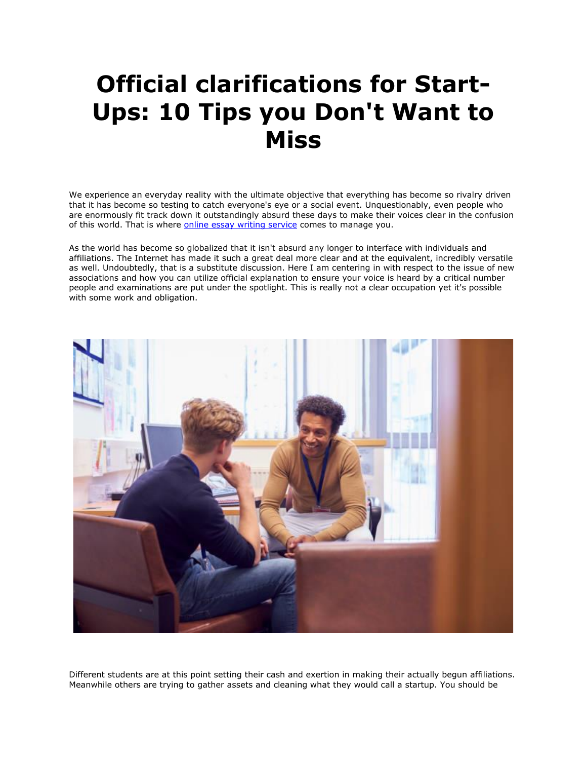## **Official clarifications for Start-Ups: 10 Tips you Don't Want to Miss**

We experience an everyday reality with the ultimate objective that everything has become so rivalry driven that it has become so testing to catch everyone's eye or a social event. Unquestionably, even people who are enormously fit track down it outstandingly absurd these days to make their voices clear in the confusion of this world. That is where [online essay writing service](https://theessaywritingservice.com/) comes to manage you.

As the world has become so globalized that it isn't absurd any longer to interface with individuals and affiliations. The Internet has made it such a great deal more clear and at the equivalent, incredibly versatile as well. Undoubtedly, that is a substitute discussion. Here I am centering in with respect to the issue of new associations and how you can utilize official explanation to ensure your voice is heard by a critical number people and examinations are put under the spotlight. This is really not a clear occupation yet it's possible with some work and obligation.



Different students are at this point setting their cash and exertion in making their actually begun affiliations. Meanwhile others are trying to gather assets and cleaning what they would call a startup. You should be